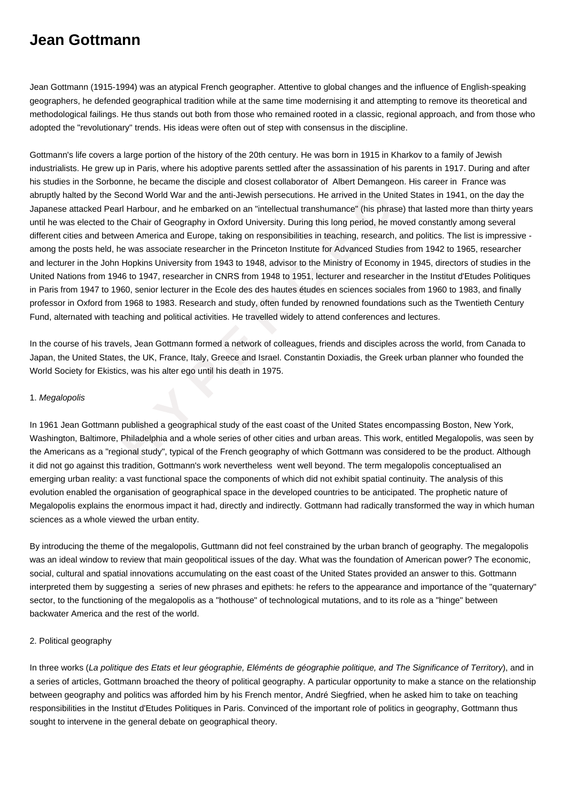## **Jean Gottmann**

Jean Gottmann (1915-1994) was an atypical French geographer. Attentive to global changes and the influence of English-speaking geographers, he defended geographical tradition while at the same time modernising it and attempting to remove its theoretical and methodological failings. He thus stands out both from those who remained rooted in a classic, regional approach, and from those who adopted the "revolutionary" trends. His ideas were often out of step with consensus in the discipline.

the Second World War and the anti-Jewish persecutions. He arrived in the United of Pearl Harbour, and he embarked on an "intellectual transhumance" (his phrase) to the Chair of Geography in Oxford University. During this l Gottmann's life covers a large portion of the history of the 20th century. He was born in 1915 in Kharkov to a family of Jewish industrialists. He grew up in Paris, where his adoptive parents settled after the assassination of his parents in 1917. During and after his studies in the Sorbonne, he became the disciple and closest collaborator of Albert Demangeon. His career in France was abruptly halted by the Second World War and the anti-Jewish persecutions. He arrived in the United States in 1941, on the day the Japanese attacked Pearl Harbour, and he embarked on an "intellectual transhumance" (his phrase) that lasted more than thirty years until he was elected to the Chair of Geography in Oxford University. During this long period, he moved constantly among several different cities and between America and Europe, taking on responsibilities in teaching, research, and politics. The list is impressive among the posts held, he was associate researcher in the Princeton Institute for Advanced Studies from 1942 to 1965, researcher and lecturer in the John Hopkins University from 1943 to 1948, advisor to the Ministry of Economy in 1945, directors of studies in the United Nations from 1946 to 1947, researcher in CNRS from 1948 to 1951, lecturer and researcher in the Institut d'Etudes Politiques in Paris from 1947 to 1960, senior lecturer in the Ecole des des hautes études en sciences sociales from 1960 to 1983, and finally professor in Oxford from 1968 to 1983. Research and study, often funded by renowned foundations such as the Twentieth Century Fund, alternated with teaching and political activities. He travelled widely to attend conferences and lectures.

In the course of his travels, Jean Gottmann formed a network of colleagues, friends and disciples across the world, from Canada to Japan, the United States, the UK, France, Italy, Greece and Israel. Constantin Doxiadis, the Greek urban planner who founded the World Society for Ekistics, was his alter ego until his death in 1975.

## 1. Megalopolis

In 1961 Jean Gottmann published a geographical study of the east coast of the United States encompassing Boston, New York, Washington, Baltimore, Philadelphia and a whole series of other cities and urban areas. This work, entitled Megalopolis, was seen by the Americans as a "regional study", typical of the French geography of which Gottmann was considered to be the product. Although it did not go against this tradition, Gottmann's work nevertheless went well beyond. The term megalopolis conceptualised an emerging urban reality: a vast functional space the components of which did not exhibit spatial continuity. The analysis of this evolution enabled the organisation of geographical space in the developed countries to be anticipated. The prophetic nature of Megalopolis explains the enormous impact it had, directly and indirectly. Gottmann had radically transformed the way in which human sciences as a whole viewed the urban entity.

By introducing the theme of the megalopolis, Guttmann did not feel constrained by the urban branch of geography. The megalopolis was an ideal window to review that main geopolitical issues of the day. What was the foundation of American power? The economic, social, cultural and spatial innovations accumulating on the east coast of the United States provided an answer to this. Gottmann interpreted them by suggesting a series of new phrases and epithets: he refers to the appearance and importance of the "quaternary" sector, to the functioning of the megalopolis as a "hothouse" of technological mutations, and to its role as a "hinge" between backwater America and the rest of the world.

## 2. Political geography

In three works (La politique des Etats et leur géographie, Eléménts de géographie politique, and The Significance of Territory), and in a series of articles, Gottmann broached the theory of political geography. A particular opportunity to make a stance on the relationship between geography and politics was afforded him by his French mentor, André Siegfried, when he asked him to take on teaching responsibilities in the Institut d'Etudes Politiques in Paris. Convinced of the important role of politics in geography, Gottmann thus sought to intervene in the general debate on geographical theory.